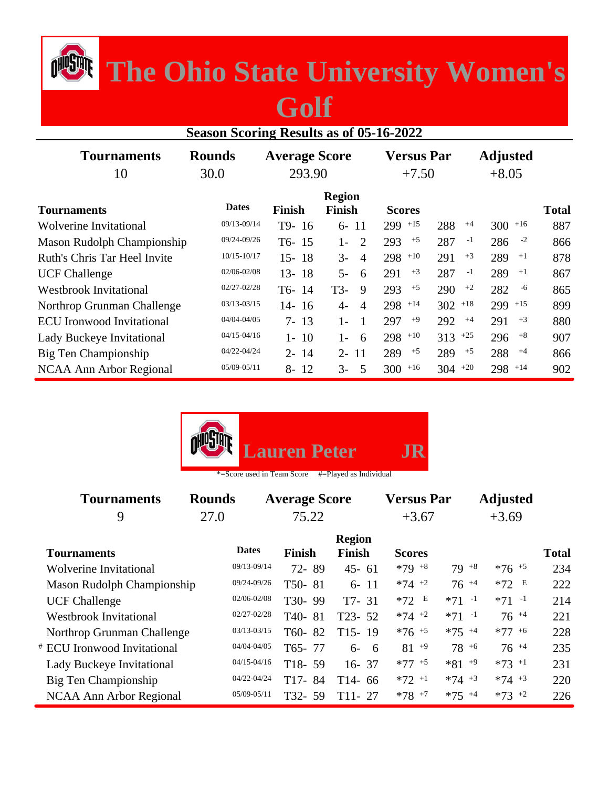## *The Ohio State University Women's*

## **Golf**

| <b>Season Scoring Results as of 05-16-2022</b> |                 |                   |                                |                 |           |                     |              |  |  |  |
|------------------------------------------------|-----------------|-------------------|--------------------------------|-----------------|-----------|---------------------|--------------|--|--|--|
| <b>Tournaments</b>                             | <b>Rounds</b>   | <b>Versus Par</b> |                                | <b>Adjusted</b> |           |                     |              |  |  |  |
| 10                                             | 30.0            | 293.90            |                                | $+7.50$         |           | $+8.05$             |              |  |  |  |
| <b>Tournaments</b>                             | <b>Dates</b>    | Finish            | <b>Region</b><br><b>Finish</b> | <b>Scores</b>   |           |                     | <b>Total</b> |  |  |  |
| <b>Wolverine Invitational</b>                  | 09/13-09/14     | T9-16             | $6 - 11$                       | $299$ +15       | 288       | $300$ +16<br>$+4$   | 887          |  |  |  |
| Mason Rudolph Championship                     | 09/24-09/26     | $T6-15$           | 2<br>$1-$                      | $+5$<br>293     | 287       | $-1$<br>$-2$<br>286 | 866          |  |  |  |
| Ruth's Chris Tar Heel Invite                   | $10/15 - 10/17$ | $15 - 18$         | $3-$<br>$\overline{4}$         | $298$ +10       | 291       | $+3$<br>289<br>$+1$ | 878          |  |  |  |
| <b>UCF Challenge</b>                           | 02/06-02/08     | $13 - 18$         | $5-$<br>6                      | $+3$<br>291     | 287       | 289<br>$-1$<br>$+1$ | 867          |  |  |  |
| <b>Westbrook Invitational</b>                  | $02/27 - 02/28$ | T6-14             | T3-<br>9                       | $+5$<br>293     | 290       | $+2$<br>282<br>-6   | 865          |  |  |  |
| Northrop Grunman Challenge                     | $03/13 - 03/15$ | $14 - 16$         | $4-$<br>$\overline{A}$         | $298$ +14       | $302$ +18 | $299 + 15$          | 899          |  |  |  |
| <b>ECU</b> Ironwood Invitational               | 04/04-04/05     | $7 - 13$          | $1-$<br>1                      | $+9$<br>297     | 292       | $+3$<br>$+4$<br>291 | 880          |  |  |  |
| Lady Buckeye Invitational                      | $04/15 - 04/16$ | 10<br>$1 -$       | $1-$<br>6                      | $298$ +10       | $313 +25$ | $+8$<br>296         | 907          |  |  |  |
| Big Ten Championship                           | $04/22 - 04/24$ | $2 - 14$          | $2 - 11$                       | $+5$<br>289     | 289       | 288<br>$+5$<br>$+4$ | 866          |  |  |  |
| NCAA Ann Arbor Regional                        | $05/09 - 05/11$ | 12<br>8-          | $3-$<br>.5                     | $+16$<br>300    | $304 +20$ | $298$ +14           | 902          |  |  |  |



| <b>Rounds</b>              |                   |                                                                                                                                                                     |                                                                                                              |                                               |                   |                 |
|----------------------------|-------------------|---------------------------------------------------------------------------------------------------------------------------------------------------------------------|--------------------------------------------------------------------------------------------------------------|-----------------------------------------------|-------------------|-----------------|
| 27.0                       |                   |                                                                                                                                                                     | $+3.67$                                                                                                      |                                               | $+3.69$           |                 |
|                            | <b>Finish</b>     | <b>Region</b><br><b>Finish</b>                                                                                                                                      | <b>Scores</b>                                                                                                |                                               |                   | <b>Total</b>    |
|                            |                   | $45 - 61$                                                                                                                                                           | $*79 + 8$                                                                                                    | $79^{+8}$                                     | $*76 + 5$         | 234             |
| Mason Rudolph Championship |                   | $6 - 11$                                                                                                                                                            | $*74$ +2                                                                                                     | $76^{+4}$                                     | $*72$ E           | 222             |
|                            |                   | $T7 - 31$                                                                                                                                                           | $*72 E$                                                                                                      | $*71 -1$                                      | $*71 -1$          | 214             |
|                            | T <sub>40</sub> - |                                                                                                                                                                     | $*74$ +2                                                                                                     | $*71 -1$                                      | $76^{+4}$         | 221             |
| Northrop Grunman Challenge | T60-              |                                                                                                                                                                     | $*76$ +5                                                                                                     | $*75$ +4                                      | $*77 + 6$         | 228             |
|                            |                   |                                                                                                                                                                     | $81^{+9}$                                                                                                    | $78^{+6}$                                     | $76^{+4}$         | 235             |
|                            |                   | $16 - 37$                                                                                                                                                           | $*77$ +5                                                                                                     | $*81 + 9$                                     | $*73$ +1          | 231             |
|                            | T <sub>17</sub> - |                                                                                                                                                                     | $*72$ <sup>+1</sup>                                                                                          | $*74 + 3$                                     | $*74 + 3$         | 220             |
|                            |                   | T11-27                                                                                                                                                              | $*78$ +7                                                                                                     | $*75$ +4                                      | $*73$ +2          | 226             |
|                            |                   | <b>Dates</b><br>09/13-09/14<br>09/24-09/26<br>$02/06 - 02/08$<br>$02/27 - 02/28$<br>03/13-03/15<br>04/04-04/05<br>$04/15 - 04/16$<br>04/22-04/24<br>$05/09 - 05/11$ | <b>Average Score</b><br>75.22<br>72-89<br>T50-81<br>T30-99<br>81<br>82<br>T65-77<br>$T18-59$<br>84<br>T32-59 | $T23 - 52$<br>$T15-19$<br>$6 - 6$<br>$T14-66$ | <b>Versus Par</b> | <b>Adjusted</b> |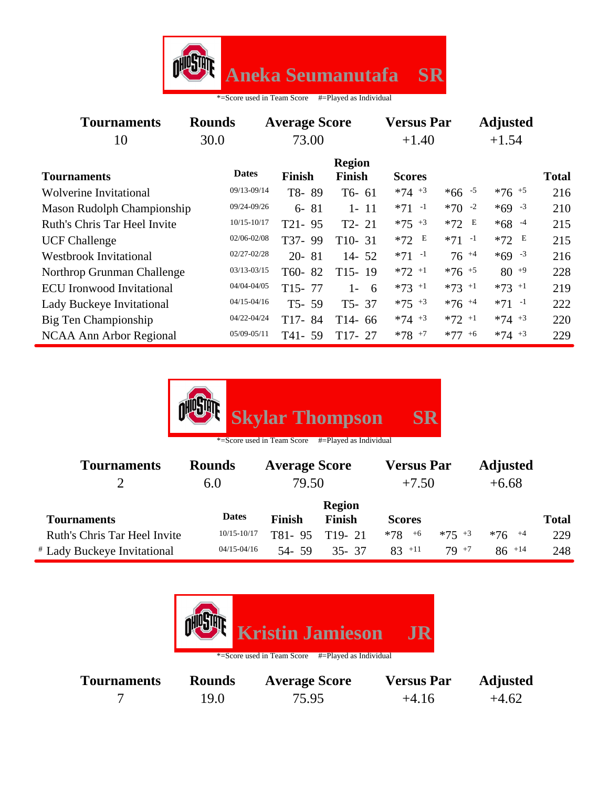

| 30.0         | 73.00                                              |                                                                                                                                                                    | $+1.40$              |                     | $+1.54$           |                 |  |
|--------------|----------------------------------------------------|--------------------------------------------------------------------------------------------------------------------------------------------------------------------|----------------------|---------------------|-------------------|-----------------|--|
| <b>Dates</b> | <b>Finish</b>                                      | <b>Region</b><br><b>Finish</b>                                                                                                                                     | <b>Scores</b>        |                     |                   | <b>Total</b>    |  |
|              | T8-89                                              | $T6-61$                                                                                                                                                            | $*74 + 3$            | $*66 - 5$           | $*76$ +5          | 216             |  |
|              | 81<br>$6-$                                         | $1 - 11$                                                                                                                                                           | $*71 -1$             | $*70 -2$            | $*69 - 3$         | 210             |  |
|              | $T21 - 95$                                         | $T2 - 21$                                                                                                                                                          | $*75$ $*3$           | $*72$ E             | $*68 - 4$         | 215             |  |
|              | T37-99                                             | $T10-31$                                                                                                                                                           | $*72 E$              | $*71 -1$            | $*72 E$           | 215             |  |
|              | $20 - 81$                                          | $14 - 52$                                                                                                                                                          | $*71 -1$             | $76^{+4}$           | $*69 - 3$         | 216             |  |
|              | T60-82                                             | $T15-19$                                                                                                                                                           | $*72$ +1             | $*76$ +5            | $80^{+9}$         | 228             |  |
|              | $T15 - 77$                                         | $1 - 6$                                                                                                                                                            | $*73$ <sup>+1</sup>  | $*73 + 1$           | $*73 + 1$         | 219             |  |
|              | $T5 - 59$                                          | $T5 - 37$                                                                                                                                                          | $*75$ $*3$           | $*76$ <sup>+4</sup> | $*71 -1$          | 222             |  |
|              | T17-84                                             | $T14 - 66$                                                                                                                                                         | $*74$ +3             | $*72$ +1            | $*74 + 3$         | 220             |  |
|              | T41-59                                             | $T17-27$                                                                                                                                                           | $*78$ +7             | $*77 + 6$           | $*74 + 3$         | 229             |  |
|              | <b>Rounds</b><br><b>Mason Rudolph Championship</b> | 09/13-09/14<br>09/24-09/26<br>$10/15 - 10/17$<br>02/06-02/08<br>$02/27 - 02/28$<br>$03/13 - 03/15$<br>04/04-04/05<br>$04/15 - 04/16$<br>04/22-04/24<br>05/09-05/11 | <b>Average Score</b> |                     | <b>Versus Par</b> | <b>Adjusted</b> |  |



| <b>Tournaments</b>           | <b>Rounds</b>   | <b>Average Score</b> |               | <b>Versus Par</b> |           | <b>Adjusted</b> |              |
|------------------------------|-----------------|----------------------|---------------|-------------------|-----------|-----------------|--------------|
|                              | 6.0             | 79.50                |               | $+7.50$           |           | $+6.68$         |              |
|                              |                 |                      | <b>Region</b> |                   |           |                 |              |
| <b>Tournaments</b>           | <b>Dates</b>    | <b>Finish</b>        | <b>Finish</b> | <b>Scores</b>     |           |                 | <b>Total</b> |
| Ruth's Chris Tar Heel Invite | 10/15-10/17     | T81-95               | $T19-21$      | $*78$<br>$+6$     | $*75 + 3$ | $*76$ $^{+4}$   | 229          |
| # Lady Buckeye Invitational  | $04/15 - 04/16$ | 54- 59               | $35 - 37$     | $83 + 11$         | $79 + 7$  | $86^{+14}$      | 248          |

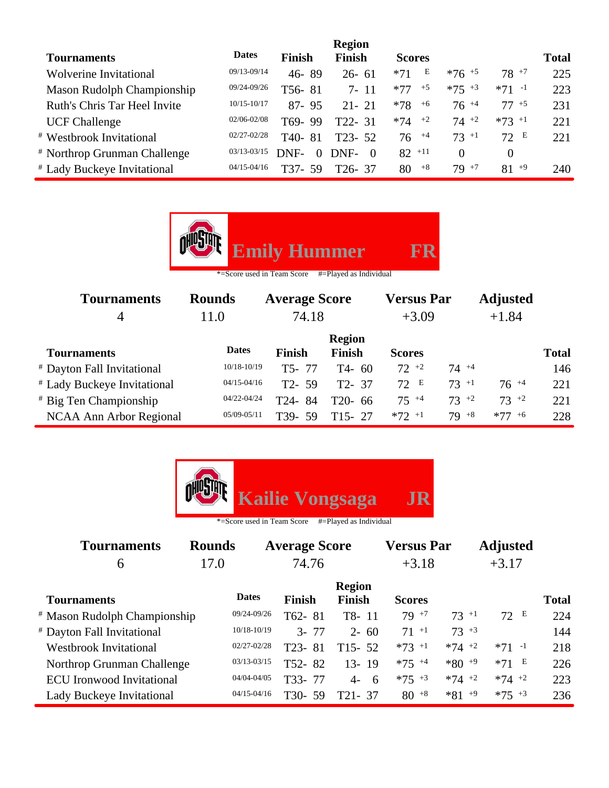|                                         |                 |                     | <b>Region</b> |               |                     |                     |              |
|-----------------------------------------|-----------------|---------------------|---------------|---------------|---------------------|---------------------|--------------|
| <b>Tournaments</b>                      | <b>Dates</b>    | Finish              | <b>Finish</b> | <b>Scores</b> |                     |                     | <b>Total</b> |
| <b>Wolverine Invitational</b>           | 09/13-09/14     | 46-89               | $26 - 61$     | E<br>$*71$    | $*76$ <sup>+5</sup> | $78^{+7}$           | 225          |
| Mason Rudolph Championship              | 09/24-09/26     | T56-81              | $7 - 11$      | $*77$<br>$+5$ | $*75 + 3$           | $*71 -1$            | 223          |
| Ruth's Chris Tar Heel Invite            | $10/15 - 10/17$ | $87 - 95$           | $21 - 21$     | $+6$<br>$*78$ | $76^{+4}$           | $77 + 5$            | 231          |
| <b>UCF Challenge</b>                    | 02/06-02/08     | T69-99              | $T22 - 31$    | $*74$ $*2$    | $74^{+2}$           | $*73$ <sup>+1</sup> | 221          |
| <b>* Westbrook Invitational</b>         | $02/27 - 02/28$ | T <sub>40</sub> -81 | $T23 - 52$    | $76 + 4$      | $73 + 1$            | 72 E                | 221          |
| <sup>#</sup> Northrop Grunman Challenge | 03/13-03/15     | DNF-<br>$\Omega$    | DNF-<br>- 0   | $82$ +11      | 0                   | $\theta$            |              |
| # Lady Buckeye Invitational             | $04/15 - 04/16$ | T37-<br>.59         | $T26 - 37$    | $+8$<br>80    | $79^{+7}$           | $81^{+9}$           | 240          |

| <b>Emily Hummer</b><br>FR<br>*=Score used in Team Score<br>#=Played as Individual |                 |                      |                                |                     |           |                 |              |  |  |
|-----------------------------------------------------------------------------------|-----------------|----------------------|--------------------------------|---------------------|-----------|-----------------|--------------|--|--|
| <b>Tournaments</b>                                                                | <b>Rounds</b>   | <b>Average Score</b> |                                | <b>Versus Par</b>   |           | <b>Adjusted</b> |              |  |  |
| $\overline{4}$                                                                    | 11.0            | 74.18                |                                | $+3.09$             |           | $+1.84$         |              |  |  |
| <b>Tournaments</b>                                                                | <b>Dates</b>    | <b>Finish</b>        | <b>Region</b><br><b>Finish</b> | <b>Scores</b>       |           |                 | <b>Total</b> |  |  |
| # Dayton Fall Invitational                                                        | 10/18-10/19     | T5-77                | $T4-60$                        | $72^{+2}$           | $74^{+4}$ |                 | 146          |  |  |
| # Lady Buckeye Invitational                                                       | $04/15 - 04/16$ | $T2 - 59$            | $T2 - 37$                      | 72 E                | $73 + 1$  | $76^{+4}$       | 221          |  |  |
| # Big Ten Championship                                                            | 04/22-04/24     | T24-84               | $T20-66$                       | $75^{+4}$           | $73^{+2}$ | $73^{+2}$       | 221          |  |  |
| NCAA Ann Arbor Regional                                                           | $05/09 - 05/11$ | T39-59               | $T15 - 27$                     | $*72$ <sup>+1</sup> | $79^{+8}$ | $*77 + 6$       | 228          |  |  |



| <b>Tournaments</b>                      | <b>Rounds</b>   |               | <b>Average Score</b>           |                     | <b>Versus Par</b> | <b>Adjusted</b> |              |
|-----------------------------------------|-----------------|---------------|--------------------------------|---------------------|-------------------|-----------------|--------------|
| 6                                       | 17.0            |               | 74.76                          |                     | $+3.18$           | $+3.17$         |              |
| <b>Tournaments</b>                      | <b>Dates</b>    | <b>Finish</b> | <b>Region</b><br><b>Finish</b> | <b>Scores</b>       |                   |                 | <b>Total</b> |
| <sup>#</sup> Mason Rudolph Championship | 09/24-09/26     | T62-81        | $T8-11$                        | $79 + 7$            | $73 + 1$          | 72 E            | 224          |
| # Dayton Fall Invitational              | $10/18 - 10/19$ | $3 - 77$      | $2 - 60$                       | $71 + 1$            | $73 + 3$          |                 | 144          |
| <b>Westbrook Invitational</b>           | $02/27 - 02/28$ | T23-81        | $T15 - 52$                     | $*73$ <sup>+1</sup> | $*74$ +2          | $*71 -1$        | 218          |
| Northrop Grunman Challenge              | 03/13-03/15     | T52-82        | $13 - 19$                      | $*75$ +4            | $*80 + 9$         | $*71$ E         | 226          |
| <b>ECU</b> Ironwood Invitational        | 04/04-04/05     | T33-77        | $4 - 6$                        | $*75$ $*3$          | $*74$ +2          | $*74$ +2        | 223          |
| <b>Lady Buckeye Invitational</b>        | $04/15 - 04/16$ | T30-<br>59    | T21-37                         | $80^{+8}$           | $*81 + 9$         | $*75$ $*3$      | 236          |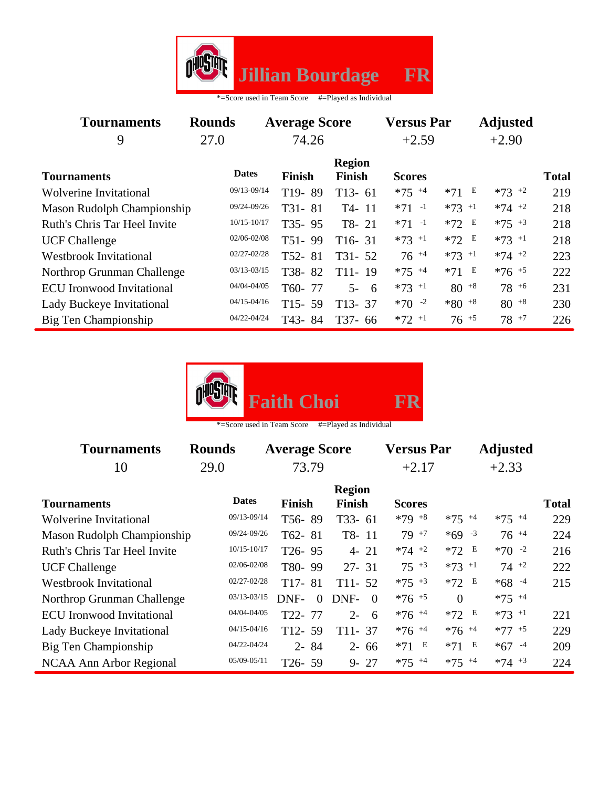

| <b>Tournaments</b>                  | <b>Rounds</b>   | <b>Average Score</b> |                                | <b>Versus Par</b>   |                     | <b>Adjusted</b> |              |
|-------------------------------------|-----------------|----------------------|--------------------------------|---------------------|---------------------|-----------------|--------------|
| 9                                   | 27.0            | 74.26                |                                | $+2.59$             |                     | $+2.90$         |              |
| <b>Tournaments</b>                  | <b>Dates</b>    | <b>Finish</b>        | <b>Region</b><br><b>Finish</b> | <b>Scores</b>       |                     |                 | <b>Total</b> |
| <b>Wolverine Invitational</b>       | 09/13-09/14     | T <sub>19</sub> -89  | $T13-61$                       | $*75$ +4            | $*71$ E             | $*73$ +2        | 219          |
| <b>Mason Rudolph Championship</b>   | 09/24-09/26     | T31-81               | T4-11                          | $*71 -1$            | $*73$ <sup>+1</sup> | $*74$ +2        | 218          |
| <b>Ruth's Chris Tar Heel Invite</b> | $10/15 - 10/17$ | $T35 - 95$           | T8-21                          | $*71 -1$            | $*72$ E             | $*75$ +3        | 218          |
| <b>UCF Challenge</b>                | 02/06-02/08     | $T51 - 99$           | $T16-31$                       | $*73 + 1$           | $*72 E$             | $*73 + 1$       | 218          |
| <b>Westbrook Invitational</b>       | $02/27 - 02/28$ | T52-81               | $T31 - 52$                     | $76^{+4}$           | $*73$ <sup>+1</sup> | $*74$ +2        | 223          |
| Northrop Grunman Challenge          | $03/13 - 03/15$ | T38-82               | $T11-19$                       | $*75$ +4            | $*71$ E             | $*76$ +5        | 222          |
| <b>ECU</b> Ironwood Invitational    | 04/04-04/05     | T60-77               | $5 - 6$                        | $*73$ <sup>+1</sup> | $80^{+8}$           | $78^{+6}$       | 231          |
| <b>Lady Buckeye Invitational</b>    | $04/15 - 04/16$ | $T15 - 59$           | $T13 - 37$                     | $*70 -2$            | $*80 + 8$           | $80^{+8}$       | 230          |
| Big Ten Championship                | 04/22-04/24     | T43-84               | $T37-66$                       | $*72$ +1            | $76^{+5}$           | $78^{+7}$       | 226          |



\*=Score used in Team Score #=Played as Individual

| <b>Tournaments</b>               | <b>Rounds</b>   | <b>Average Score</b> |                                | <b>Versus Par</b>   |                     | <b>Adjusted</b>     |              |
|----------------------------------|-----------------|----------------------|--------------------------------|---------------------|---------------------|---------------------|--------------|
| 10                               | 29.0            | 73.79                |                                |                     |                     | $+2.33$             |              |
| <b>Tournaments</b>               | <b>Dates</b>    | <b>Finish</b>        | <b>Region</b><br><b>Finish</b> | <b>Scores</b>       |                     |                     | <b>Total</b> |
| <b>Wolverine Invitational</b>    | 09/13-09/14     | T56-89               | $T33 - 61$                     | $*79 + 8$           | $*75$ +4            | $*75$ +4            | 229          |
| Mason Rudolph Championship       | 09/24-09/26     | T62-81               | T8-11                          | $79 + 7$            | $*69 - 3$           | $76^{+4}$           | 224          |
| Ruth's Chris Tar Heel Invite     | $10/15 - 10/17$ | T <sub>26</sub> -95  | $4 - 21$                       | $*74$ +2            | E<br>$*72$          | $*70 -2$            | 216          |
| <b>UCF Challenge</b>             | 02/06-02/08     | T80-99               | $27 - 31$                      | $75 + 3$            | $*73$ +1            | $74 +2$             | 222          |
| <b>Westbrook Invitational</b>    | 02/27-02/28     | $T17-81$             | $T11 - 52$                     | $*75$ +3            | E<br>$*72$          | $*68 - 4$           | 215          |
| Northrop Grunman Challenge       | 03/13-03/15     | DNF-<br>$\Omega$     | DNF-<br>- 0                    | $*76 + 5$           | $\Omega$            | $*75$ +4            |              |
| <b>ECU</b> Ironwood Invitational | 04/04-04/05     | T22-77               | $2 -$<br>- 6                   | $*76$ <sup>+4</sup> | $*72$ E             | $*73$ <sup>+1</sup> | 221          |
| Lady Buckeye Invitational        | $04/15 - 04/16$ | $T12 - 59$           | $T11 - 37$                     | $*76$ <sup>+4</sup> | $*76$ <sup>+4</sup> | $*77 + 5$           | 229          |
| Big Ten Championship             | 04/22-04/24     | $2 - 84$             | $2 - 66$                       | $*71$ E             | $*71$ E             | $*67 - 4$           | 209          |
| NCAA Ann Arbor Regional          | $05/09 - 05/11$ | $T26 - 59$           | $9 - 27$                       | $*75$ +4            | $*75$ +4            | $*74$ +3            | 224          |

 $\overline{\phantom{0}}$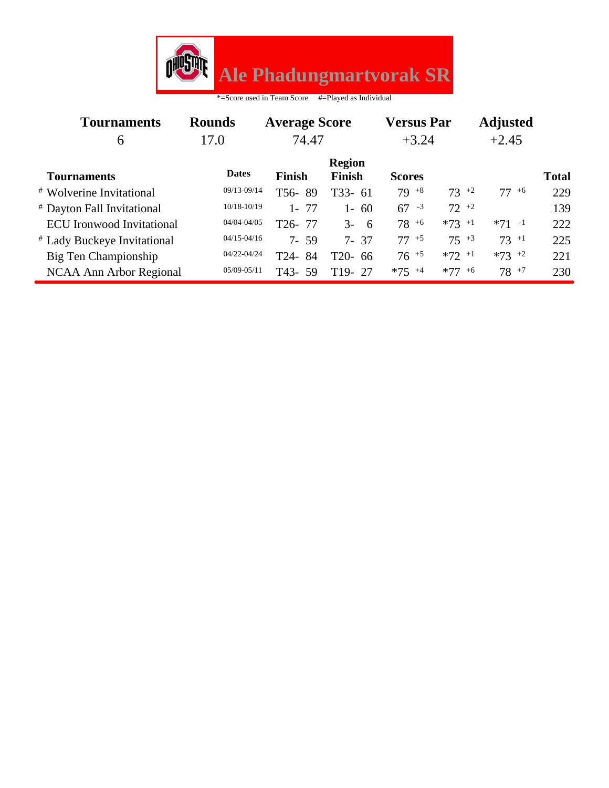

| <b>Tournaments</b>               | <b>Rounds</b><br><b>Average Score</b> |                      |                                | <b>Versus Par</b> |                     | <b>Adjusted</b>     |              |
|----------------------------------|---------------------------------------|----------------------|--------------------------------|-------------------|---------------------|---------------------|--------------|
| 6                                | 17.0                                  | 74.47                | $+3.24$                        |                   |                     | $+2.45$             |              |
| <b>Tournaments</b>               | <b>Dates</b>                          | <b>Finish</b>        | <b>Region</b><br><b>Finish</b> | <b>Scores</b>     |                     |                     | <b>Total</b> |
| <b>* Wolverine Invitational</b>  | 09/13-09/14                           | T56-89               | $T33-61$                       | $79^{+8}$         | $73 + 2$            | $77^{+6}$           | 229          |
| # Dayton Fall Invitational       | 10/18-10/19                           | $1 - 77$             | $1 - 60$                       | $67 - 3$          | $72^{+2}$           |                     | 139          |
| <b>ECU</b> Ironwood Invitational | 04/04-04/05                           | T <sub>26</sub> - 77 | $3 - 6$                        | $78^{+6}$         | $*73 +1$            | $*71 -1$            | 222          |
| # Lady Buckeye Invitational      | $04/15 - 04/16$                       | $7 - 59$             | $7 - 37$                       | $77 + 5$          | $75 + 3$            | $73 + 1$            | 225          |
| Big Ten Championship             | 04/22-04/24                           | T24-84               | $T20-66$                       | $76^{+5}$         | $*72$ <sup>+1</sup> | $*73$ <sup>+2</sup> | 221          |
| NCAA Ann Arbor Regional          | 05/09-05/11                           | T43-59               | $T19 - 27$                     | $*75$ +4          | $*77 + 6$           | $78^{+7}$           | 230          |